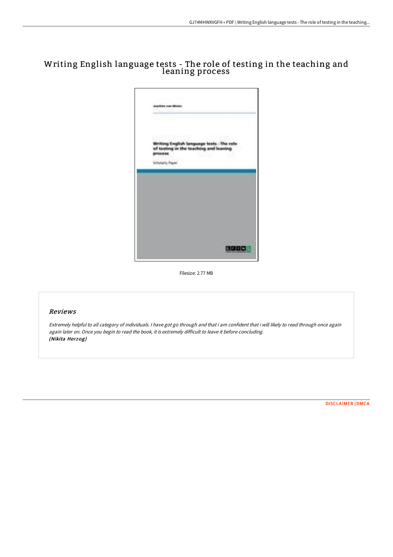# Writing English language tests - The role of testing in the teaching and leaning process



Filesize: 2.77 MB

## Reviews

Extremely helpful to all category of individuals. <sup>I</sup> have got go through and that i am confident that i will likely to read through once again again later on. Once you begin to read the book, it is extremely difficult to leave it before concluding. (Nikita Herzog)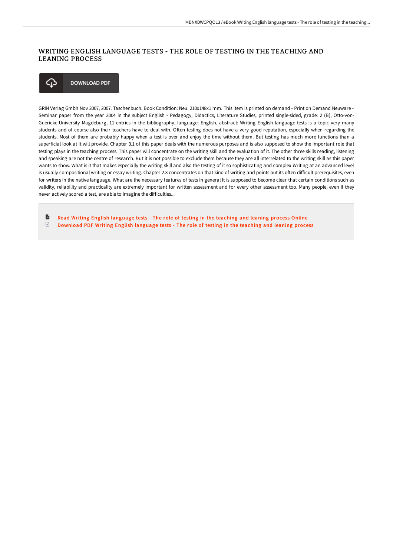## WRITING ENGLISH LANGUAGE TESTS - THE ROLE OF TESTING IN THE TEACHING AND LEANING PROCESS



GRIN Verlag Gmbh Nov 2007, 2007. Taschenbuch. Book Condition: Neu. 210x148x1 mm. This item is printed on demand - Print on Demand Neuware - Seminar paper from the year 2004 in the subject English - Pedagogy, Didactics, Literature Studies, printed single-sided, grade: 2 (B), Otto-von-Guericke-University Magdeburg, 11 entries in the bibliography, language: English, abstract: Writing English language tests is a topic very many students and of course also their teachers have to deal with. Often testing does not have a very good reputation, especially when regarding the students. Most of them are probably happy when a test is over and enjoy the time without them. But testing has much more functions than a superficial look at it will provide. Chapter 3.1 of this paper deals with the numerous purposes and is also supposed to show the important role that testing plays in the teaching process. This paper will concentrate on the writing skill and the evaluation of it. The other three skills reading, listening and speaking are not the centre of research. But it is not possible to exclude them because they are all interrelated to the writing skill as this paper wants to show. What is it that makes especially the writing skill and also the testing of it so sophisticating and complex Writing at an advanced level is usually compositional writing or essay writing. Chapter 2.3 concentrates on that kind of writing and points out its often difficult prerequisites, even for writers in the native language. What are the necessary features of tests in general It is supposed to become clear that certain conditions such as validity, reliability and practicality are extremely important for written assessment and for every other assessment too. Many people, even if they never actively scored a test, are able to imagine the difficulties...

B Read Writing English [language](http://digilib.live/writing-english-language-tests-the-role-of-testi.html) tests - The role of testing in the teaching and leaning process Online  $\begin{tabular}{|c|c|} \hline \quad \quad & \quad \quad & \quad \quad \\ \hline \end{tabular}$ [Download](http://digilib.live/writing-english-language-tests-the-role-of-testi.html) PDF Writing English language tests - The role of testing in the teaching and leaning process